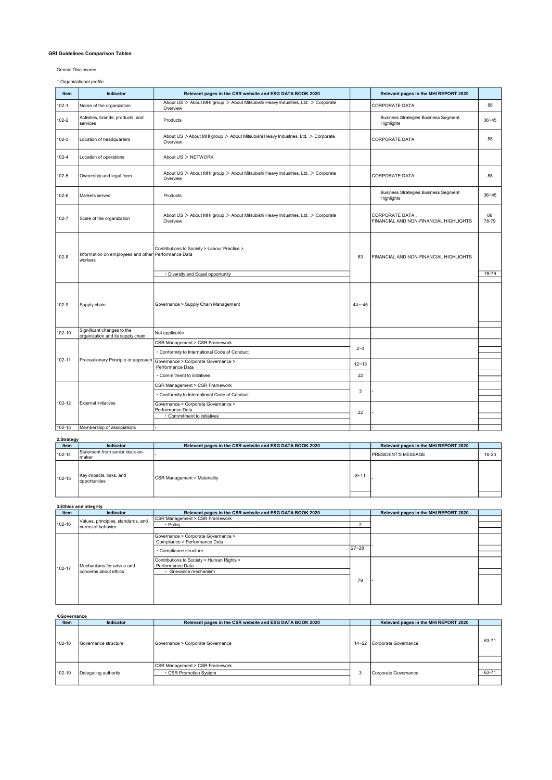## GRI Guidelines Comparison Tables

Geneal Disclosures

1.Organizational profile

| Item      | <b>Indicator</b>                                                | Relevant pages in the CSR website and ESG DATA BOOK 2020                                     |             | Relevant pages in the MHI REPORT 2020                     |             |
|-----------|-----------------------------------------------------------------|----------------------------------------------------------------------------------------------|-------------|-----------------------------------------------------------|-------------|
| $102 - 1$ | Name of the organization                                        | About US > About MHI group > About Mitsubishi Heavy Industries, Ltd. > Corporate<br>Overview |             | <b>CORPORATE DATA</b>                                     | 88          |
| 102-2     | Activities, brands, products, and<br>services                   | Products                                                                                     |             | <b>Business Strategies Business Segment</b><br>Highlights | $36 - 45$   |
| 102-3     | Location of headquarters                                        | About US > About MHI group > About Mitsubishi Heavy Industries, Ltd. > Corporate<br>Overview |             | <b>CORPORATE DATA</b>                                     | 88          |
| 102-4     | Location of operations                                          | About US > NETWORK                                                                           |             |                                                           |             |
| 102-5     | Ownership and legal form                                        | About US > About MHI group > About Mitsubishi Heavy Industries, Ltd. > Corporate<br>Overview |             | <b>CORPORATE DATA</b>                                     | 88          |
| 102-6     | Markets served                                                  | Products                                                                                     |             | <b>Business Strategies Business Segment</b><br>Highlights | $36 - 45$   |
| 102-7     | Scale of the organization                                       | About US > About MHI group > About Mitsubishi Heavy Industries, Ltd. > Corporate<br>Overview |             | CORPORATE DATA,<br>FINANCIAL AND NON-FINANCIAL HIGHLIGHTS | 88<br>78-79 |
| 102-8     | Information on employees and other Performance Data<br>workers  | Contributions to Society > Labour Practice >                                                 | 63          | FINANCIAL AND NON-FINANCIAL HIGHLIGHTS                    |             |
|           |                                                                 | · Diversity and Equal opportunity                                                            |             |                                                           | 78-79       |
| 102-9     | Supply chain                                                    | Governance > Supply Chain Management                                                         | $44 - 45$   |                                                           |             |
| 102-10    | Significant changes to the<br>organization and its supply chain | Not applicable                                                                               |             |                                                           |             |
|           |                                                                 | CSR Management > CSR Framework                                                               |             |                                                           |             |
|           |                                                                 | · Conformity to International Code of Conduct                                                | $2 - 3$     |                                                           |             |
| 102-11    | Precautionary Principle or approach                             | Governance > Corporate Governance ><br>Performance Data                                      | $12 - 13$   |                                                           |             |
|           |                                                                 | Commitment to initiatives                                                                    | 22          |                                                           |             |
|           |                                                                 | CSR Management > CSR Framework                                                               |             |                                                           |             |
|           |                                                                 | · Conformity to International Code of Conduct                                                | $\mathsf 3$ |                                                           |             |
| 102-12    | External initiatives                                            | Governance > Corporate Governance ><br>Performance Data<br>· Commitment to initiatives       | 22          |                                                           |             |
| 102-13    | Membership of associations                                      |                                                                                              |             |                                                           |             |

## 2.Strategy

| $$ uww      |                                          |                                                          |          |                                       |       |
|-------------|------------------------------------------|----------------------------------------------------------|----------|---------------------------------------|-------|
| <b>Item</b> | <b>Indicator</b>                         | Relevant pages in the CSR website and ESG DATA BOOK 2020 |          | Relevant pages in the MHI REPORT 2020 |       |
| 102-14      | Statement from senior decision-          |                                                          |          | <b>IPRESIDENT'S MESSAGE</b>           | 16-23 |
|             | Imaker                                   |                                                          |          |                                       |       |
| 102-15      | Key impacts, risks, and<br>opportunities | CSR Management > Materiality                             | $8 - 11$ |                                       |       |
|             |                                          |                                                          |          |                                       |       |

|        | 3. Ethics and integrity            |                                                          |           |                                       |  |  |  |
|--------|------------------------------------|----------------------------------------------------------|-----------|---------------------------------------|--|--|--|
| Item   | Indicator                          | Relevant pages in the CSR website and ESG DATA BOOK 2020 |           | Relevant pages in the MHI REPORT 2020 |  |  |  |
|        | Values, principles, standards, and | CSR Management > CSR Framework                           |           |                                       |  |  |  |
| 102-16 | Inorms of behavior                 | · Policy                                                 |           |                                       |  |  |  |
|        |                                    |                                                          |           |                                       |  |  |  |
|        |                                    | Governance > Corporate Governance >                      |           |                                       |  |  |  |
|        |                                    | Compliance > Performance Data                            |           |                                       |  |  |  |
|        |                                    | · Compliance structure                                   | $27 - 28$ |                                       |  |  |  |
|        |                                    |                                                          |           |                                       |  |  |  |
|        |                                    | Contributions to Society > Human Rights >                |           |                                       |  |  |  |
| 102-17 | Mechanisms for advice and          | Performance Data                                         |           |                                       |  |  |  |
|        | concerns about ethics              | · Grievance mechanism                                    |           |                                       |  |  |  |
|        |                                    |                                                          | 79        |                                       |  |  |  |
|        |                                    |                                                          |           |                                       |  |  |  |
|        |                                    |                                                          |           |                                       |  |  |  |
|        |                                    |                                                          |           |                                       |  |  |  |
|        |                                    |                                                          |           |                                       |  |  |  |

|             | 4.Governance           |                                                          |   |                                       |       |  |
|-------------|------------------------|----------------------------------------------------------|---|---------------------------------------|-------|--|
| <b>Item</b> | Indicator              | Relevant pages in the CSR website and ESG DATA BOOK 2020 |   | Relevant pages in the MHI REPORT 2020 |       |  |
| 102-18      | l Governance structure | Governance > Corporate Governance                        |   | 14~22 Corporate Governance            | 63-71 |  |
|             |                        |                                                          |   |                                       |       |  |
|             |                        | CSR Management > CSR Framework                           |   |                                       |       |  |
| 102-19      | Delegating authority   | · CSR Promotion System                                   | 3 | Corporate Governance                  | 63-71 |  |
|             |                        |                                                          |   |                                       |       |  |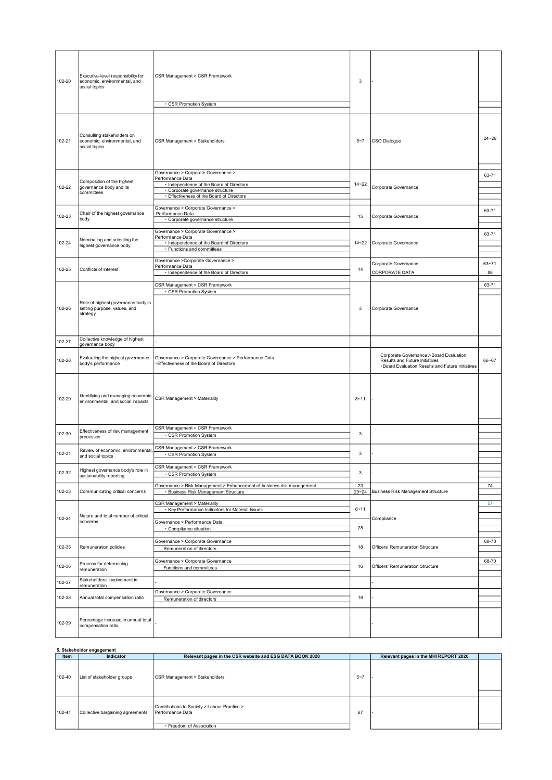| 102-20 | Executive-level responsibility for<br>economic, environmental, and<br>social topics | CSR Management > CSR Framework<br>· CSR Promotion System                                        | 3         |                                                                                                                                |           |
|--------|-------------------------------------------------------------------------------------|-------------------------------------------------------------------------------------------------|-----------|--------------------------------------------------------------------------------------------------------------------------------|-----------|
|        |                                                                                     |                                                                                                 |           |                                                                                                                                |           |
| 102-21 | Consulting stakeholders on<br>economic, environmental, and<br>social topics         | CSR Management > Stakeholders                                                                   | $5 - 7$   | CSO Dialogue                                                                                                                   | $24 - 29$ |
|        |                                                                                     | Governance > Corporate Governance >                                                             |           |                                                                                                                                | 63-71     |
|        | Composition of the highest                                                          | Performance Data<br>· Independence of the Board of Directors                                    | $14 - 22$ |                                                                                                                                |           |
| 102-22 | governance body and its<br>committees                                               | · Corporate governance structure                                                                |           | Corporate Governance                                                                                                           |           |
|        |                                                                                     | · Effectiveness of the Board of Directors                                                       |           |                                                                                                                                |           |
|        | Chair of the highest governance                                                     | Governance > Corporate Governance ><br>Performance Data                                         |           |                                                                                                                                | 63-71     |
| 102-23 | body                                                                                | · Corporate governance structure                                                                | 15        | Corporate Governance                                                                                                           |           |
|        |                                                                                     | Governance > Corporate Governance >                                                             |           |                                                                                                                                |           |
|        | Nominating and selecting the                                                        | Performance Data                                                                                |           |                                                                                                                                | 63-71     |
| 102-24 | highest governance body                                                             | · Independence of the Board of Directors<br>· Functions and committees                          | $14 - 22$ | Corporate Governance                                                                                                           |           |
|        |                                                                                     |                                                                                                 |           |                                                                                                                                |           |
| 102-25 | Conflicts of interest                                                               | Governance > Corporate Governance ><br>Performance Data                                         | 14        | Corporate Governance                                                                                                           | $63 - 71$ |
|        |                                                                                     | · Independence of the Board of Directors                                                        |           | CORPORATE DATA                                                                                                                 | 88        |
|        |                                                                                     | CSR Management > CSR Framework                                                                  |           |                                                                                                                                | 63-71     |
|        |                                                                                     | · CSR Promotion System                                                                          |           |                                                                                                                                |           |
| 102-26 | Role of highest governance body in<br>setting purpose, values, and<br>strategy      |                                                                                                 | 3         | Corporate Governance                                                                                                           |           |
| 102-27 | Collective knowledge of highest                                                     |                                                                                                 |           |                                                                                                                                |           |
|        | governance body                                                                     |                                                                                                 |           |                                                                                                                                |           |
| 102-28 | Evaluating the highest governance<br>body's performance                             | Governance > Corporate Governance > Performance Data<br>Effectiveness of the Board of Directors |           | Corporate Governance > Board Evaluation<br>Results and Future Initiatives<br>· Board Evaluation Results and Future Initiatives | 66~67     |
| 102-29 | Identifying and managing economic,<br>environmental, and social impacts             | CSR Management > Materiality                                                                    | $8 - 11$  |                                                                                                                                |           |
|        | Effectiveness of risk management                                                    | CSR Management > CSR Framework                                                                  |           |                                                                                                                                |           |
| 102-30 | processes                                                                           | CSR Promotion System                                                                            | 3         |                                                                                                                                |           |
|        | Review of economic, environmental,                                                  | CSR Management > CSR Framework                                                                  |           |                                                                                                                                |           |
| 102-31 | and social topics                                                                   | · CSR Promotion System                                                                          | 3         |                                                                                                                                |           |
|        | Highest governance body's role in                                                   | CSR Management > CSR Framework                                                                  |           |                                                                                                                                |           |
| 102-32 | sustainability reporting                                                            | · CSR Promotion System                                                                          | 3         |                                                                                                                                |           |
|        |                                                                                     | Governance > Risk Management > Enhancement of business risk management                          | 23        |                                                                                                                                | 74        |
| 102-33 | Communicating critical concerns                                                     | <b>Business Risk Management Structure</b>                                                       | $23 - 24$ | <b>Business Risk Management Structure</b>                                                                                      |           |
|        |                                                                                     | <b>CSR Management &gt; Materiality</b>                                                          |           |                                                                                                                                | 57        |
|        | Nature and total number of critical                                                 | · Key Performance Indicators for Material Issues                                                | $8 - 11$  |                                                                                                                                |           |
| 102-34 | concerns                                                                            | Governance > Performance Data                                                                   |           | Compliance                                                                                                                     |           |
|        |                                                                                     | · Compliance situation                                                                          | 28        |                                                                                                                                |           |
|        |                                                                                     | Governance > Corporate Governance                                                               |           |                                                                                                                                | 68-70     |
| 102-35 | Remuneration policies                                                               | Remuneration of directors                                                                       | 18        | Officers' Remuneration Structure                                                                                               |           |
|        |                                                                                     | Governance > Corporate Governance                                                               |           |                                                                                                                                | 68-70     |
| 102-36 | Process for determining<br>remuneration                                             | Functions and committees                                                                        | 16        | Officers' Remuneration Structure                                                                                               |           |
|        | Stakeholders' involvement in                                                        |                                                                                                 |           |                                                                                                                                |           |
| 102-37 | remuneration                                                                        |                                                                                                 |           |                                                                                                                                |           |
| 102-38 | Annual total compensation ratio                                                     | Governance > Corporate Governance                                                               | 18        |                                                                                                                                |           |
|        |                                                                                     | Remuneration of directors                                                                       |           |                                                                                                                                |           |
| 102-39 | Percentage increase in annual total<br>compensation ratio                           |                                                                                                 |           |                                                                                                                                |           |

|        | 5. Stakeholder engagement        |                                                                  |         |                                       |  |  |
|--------|----------------------------------|------------------------------------------------------------------|---------|---------------------------------------|--|--|
| Item   | Indicator                        | Relevant pages in the CSR website and ESG DATA BOOK 2020         |         | Relevant pages in the MHI REPORT 2020 |  |  |
| 102-40 | List of stakeholder groups       | CSR Management > Stakeholders                                    | $5 - 7$ |                                       |  |  |
|        |                                  |                                                                  |         |                                       |  |  |
| 102-41 | Collective bargaining agreements | Contributions to Society > Labour Practice ><br>Performance Data | 67      |                                       |  |  |
|        |                                  | · Freedom of Association                                         |         |                                       |  |  |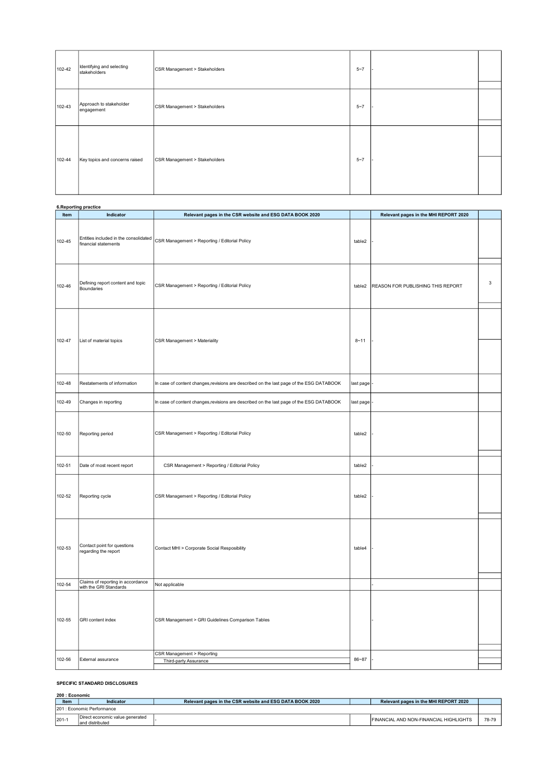| 102-42 | Identifying and selecting<br>stakeholders | CSR Management > Stakeholders | $5 - 7$ |  |
|--------|-------------------------------------------|-------------------------------|---------|--|
| 102-43 | Approach to stakeholder<br>engagement     | CSR Management > Stakeholders | $5 - 7$ |  |
| 102-44 | Key topics and concerns raised            | CSR Management > Stakeholders | $5 - 7$ |  |
|        |                                           |                               |         |  |

|        | 6. Reporting practice                                         |                                                                                          |           |                                       |             |
|--------|---------------------------------------------------------------|------------------------------------------------------------------------------------------|-----------|---------------------------------------|-------------|
| Item   | Indicator                                                     | Relevant pages in the CSR website and ESG DATA BOOK 2020                                 |           | Relevant pages in the MHI REPORT 2020 |             |
| 102-45 | Entities included in the consolidated<br>financial statements | CSR Management > Reporting / Editorial Policy                                            | table2    |                                       |             |
| 102-46 | Defining report content and topic<br>Boundaries               | CSR Management > Reporting / Editorial Policy                                            | table2    | REASON FOR PUBLISHING THIS REPORT     | $\mathsf 3$ |
| 102-47 | List of material topics                                       | CSR Management > Materiality                                                             | $8 - 11$  |                                       |             |
| 102-48 | Restatements of information                                   | In case of content changes, revisions are described on the last page of the ESG DATABOOK | last page |                                       |             |
| 102-49 | Changes in reporting                                          | In case of content changes, revisions are described on the last page of the ESG DATABOOK | last page |                                       |             |
| 102-50 | Reporting period                                              | CSR Management > Reporting / Editorial Policy                                            | table2    |                                       |             |
| 102-51 | Date of most recent report                                    | CSR Management > Reporting / Editorial Policy                                            | table2    |                                       |             |
| 102-52 | Reporting cycle                                               | CSR Management > Reporting / Editorial Policy                                            | table2    |                                       |             |
| 102-53 | Contact point for questions<br>regarding the report           | Contact MHI > Corporate Social Resposibility                                             | table4    |                                       |             |
| 102-54 | Claims of reporting in accordance<br>with the GRI Standards   | Not applicable                                                                           |           |                                       |             |
| 102-55 | GRI content index                                             | CSR Management > GRI Guidelines Comparison Tables<br>CSR Management > Reporting          |           |                                       |             |
| 102-56 | External assurance                                            | Third-party Assurance                                                                    | 86~87     |                                       |             |

## SPECIFIC STANDARD DISCLOSURES

| 200 : Economic |                                                     |                                                          |  |                                        |       |  |  |  |
|----------------|-----------------------------------------------------|----------------------------------------------------------|--|----------------------------------------|-------|--|--|--|
| Item           | <b>Indicator</b>                                    | Relevant pages in the CSR website and ESG DATA BOOK 2020 |  | Relevant pages in the MHI REPORT 2020  |       |  |  |  |
|                | 1201 : Economic Performance                         |                                                          |  |                                        |       |  |  |  |
| 201-1          | Direct economic value generated<br>land distributed |                                                          |  | FINANCIAL AND NON-FINANCIAL HIGHLIGHTS | 78-79 |  |  |  |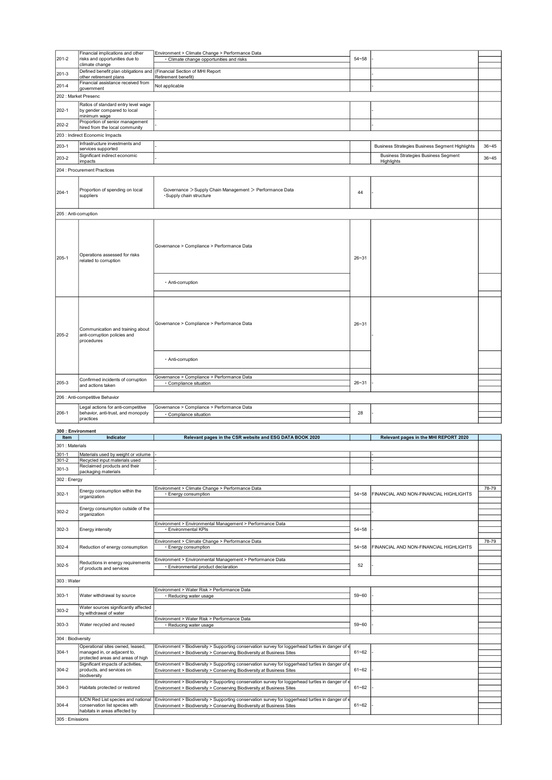|                           | Financial implications and other                                                   | Environment > Climate Change > Performance Data                                                                                                                             |           |                                                 |           |
|---------------------------|------------------------------------------------------------------------------------|-----------------------------------------------------------------------------------------------------------------------------------------------------------------------------|-----------|-------------------------------------------------|-----------|
| $201 - 2$                 | risks and opportunities due to                                                     | · Climate change opportunities and risks                                                                                                                                    | $54 - 58$ |                                                 |           |
|                           | climate change<br>Defined benefit plan obligations and                             | (Financial Section of MHI Report                                                                                                                                            |           |                                                 |           |
| $201-3$                   | other retirement plans<br>Financial assistance received from                       | Retirement benefit)                                                                                                                                                         |           |                                                 |           |
| $201 - 4$                 | government                                                                         | Not applicable                                                                                                                                                              |           |                                                 |           |
| 202 : Market Presenc      |                                                                                    |                                                                                                                                                                             |           |                                                 |           |
| 202-1                     | Ratios of standard entry level wage<br>by gender compared to local<br>minimum wage |                                                                                                                                                                             |           |                                                 |           |
| 202-2                     | Proportion of senior management<br>hired from the local community                  |                                                                                                                                                                             |           |                                                 |           |
|                           | 203 : Indirect Economic Impacts                                                    |                                                                                                                                                                             |           |                                                 |           |
| $203-1$                   | Infrastructure investments and<br>services supported                               |                                                                                                                                                                             |           | Business Strategies Business Segment Highlights | $36 - 45$ |
| 203-2                     | Significant indirect economic                                                      |                                                                                                                                                                             |           | <b>Business Strategies Business Segment</b>     | $36 - 45$ |
|                           | impacts<br>204 : Procurement Practices                                             |                                                                                                                                                                             |           | Highlights                                      |           |
|                           |                                                                                    |                                                                                                                                                                             |           |                                                 |           |
| $204-1$                   | Proportion of spending on local<br>suppliers                                       | Governance > Supply Chain Management > Performance Data<br>·Supply chain structure                                                                                          | 44        |                                                 |           |
| 205 : Anti-corruption     |                                                                                    |                                                                                                                                                                             |           |                                                 |           |
| 205-1                     | Operations assessed for risks<br>related to corruption                             | Governance > Compliance > Performance Data<br>· Anti-corruption                                                                                                             | $26 - 31$ |                                                 |           |
| 205-2                     | Communication and training about<br>anti-corruption policies and<br>procedures     | Governance > Compliance > Performance Data<br>· Anti-corruption                                                                                                             | $26 - 31$ |                                                 |           |
|                           | Confirmed incidents of corruption                                                  | Governance > Compliance > Performance Data                                                                                                                                  |           |                                                 |           |
| 205-3                     | and actions taken                                                                  | · Compliance situation                                                                                                                                                      | $26 - 31$ |                                                 |           |
|                           | 206 : Anti-competitive Behavior                                                    |                                                                                                                                                                             |           |                                                 |           |
|                           | Legal actions for anti-competitive                                                 | Governance > Compliance > Performance Data                                                                                                                                  |           |                                                 |           |
| 206-1                     | behavior, anti-trust, and monopoly<br>practices                                    | Compliance situation                                                                                                                                                        | 28        |                                                 |           |
|                           |                                                                                    |                                                                                                                                                                             |           |                                                 |           |
| 300 : Environment<br>Item | Indicator                                                                          | Relevant pages in the CSR website and ESG DATA BOOK 2020                                                                                                                    |           | Relevant pages in the MHI REPORT 2020           |           |
| 301 : Materials           |                                                                                    |                                                                                                                                                                             |           |                                                 |           |
| $301 - 1$<br>$301 - 2$    | Materials used by weight or volume<br>Recycled input materials used                |                                                                                                                                                                             |           |                                                 |           |
| $301 - 3$                 | Reclaimed products and their                                                       |                                                                                                                                                                             |           |                                                 |           |
| 302 : Energy              | packaging materials                                                                |                                                                                                                                                                             |           |                                                 |           |
|                           |                                                                                    | Environment > Climate Change > Performance Data                                                                                                                             |           |                                                 | 78-79     |
| $302 - 1$                 | Energy consumption within the<br>organization                                      | · Energy consumption                                                                                                                                                        | $54 - 58$ | FINANCIAL AND NON-FINANCIAL HIGHLIGHTS          |           |
|                           | Energy consumption outside of the                                                  |                                                                                                                                                                             |           |                                                 |           |
| 302-2                     | organization                                                                       |                                                                                                                                                                             |           |                                                 |           |
| $302 - 3$                 | Energy intensity                                                                   | Environment > Environmental Management > Performance Data<br>· Environmental KPIs                                                                                           | $54 - 58$ |                                                 |           |
|                           |                                                                                    | Environment > Climate Change > Performance Data                                                                                                                             |           |                                                 | 78-79     |
| $302 - 4$                 | Reduction of energy consumption                                                    | Energy consumption                                                                                                                                                          | $54 - 58$ | FINANCIAL AND NON-FINANCIAL HIGHLIGHTS          |           |
| 302-5                     | Reductions in energy requirements<br>of products and services                      | Environment > Environmental Management > Performance Data<br>Environmental product declaration                                                                              | 52        |                                                 |           |
| 303 : Water               |                                                                                    |                                                                                                                                                                             |           |                                                 |           |
|                           |                                                                                    | Environment > Water Risk > Performance Data                                                                                                                                 |           |                                                 |           |
| $303-1$                   | Water withdrawal by source                                                         | · Reducing water usage                                                                                                                                                      | 59~60     |                                                 |           |
| 303-2                     | Water sources significantly affected                                               |                                                                                                                                                                             |           |                                                 |           |
|                           | by withdrawal of water                                                             | Environment > Water Risk > Performance Data                                                                                                                                 |           |                                                 |           |
| $303-3$                   | Water recycled and reused                                                          | · Reducing water usage                                                                                                                                                      | $59 - 60$ |                                                 |           |
| 304 : Biodiversity        |                                                                                    |                                                                                                                                                                             |           |                                                 |           |
| 304-1                     | Operational sites owned, leased,<br>managed in, or adjacent to,                    | Environment > Biodiversity > Supporting conservation survey for loggerhead turtles in danger of e<br>Environment > Biodiversity > Conserving Biodiversity at Business Sites | $61 - 62$ |                                                 |           |
|                           | protected areas and areas of high                                                  |                                                                                                                                                                             |           |                                                 |           |
| 304-2                     | Significant impacts of activities,<br>products, and services on                    | Environment > Biodiversity > Supporting conservation survey for loggerhead turtles in danger of e<br>Environment > Biodiversity > Conserving Biodiversity at Business Sites | $61 - 62$ |                                                 |           |
|                           | biodiversity                                                                       | Environment > Biodiversity > Supporting conservation survey for loggerhead turtles in danger of e                                                                           |           |                                                 |           |
| $304 - 3$                 | Habitats protected or restored                                                     | Environment > Biodiversity > Conserving Biodiversity at Business Sites                                                                                                      | $61 - 62$ |                                                 |           |
| $304 - 4$                 | IUCN Red List species and national<br>conservation list species with               | Environment > Biodiversity > Supporting conservation survey for loggerhead turtles in danger of e<br>Environment > Biodiversity > Conserving Biodiversity at Business Sites | $61 - 62$ |                                                 |           |
| 305 : Emissions           | habitats in areas affected by                                                      |                                                                                                                                                                             |           |                                                 |           |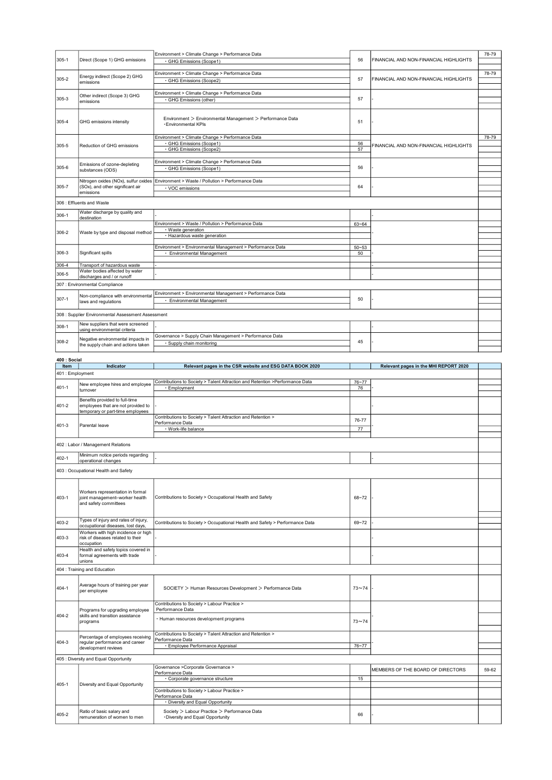|                  |                                                                          | Environment > Climate Change > Performance Data                                         |           |                                        | 78-79 |
|------------------|--------------------------------------------------------------------------|-----------------------------------------------------------------------------------------|-----------|----------------------------------------|-------|
| $305 - 1$        | Direct (Scope 1) GHG emissions                                           | · GHG Emissions (Scope1)                                                                | 56        | FINANCIAL AND NON-FINANCIAL HIGHLIGHTS |       |
|                  |                                                                          | Environment > Climate Change > Performance Data                                         |           |                                        | 78-79 |
| 305-2            | Energy indirect (Scope 2) GHG<br>emissions                               | · GHG Emissions (Scope2)                                                                | 57        | FINANCIAL AND NON-FINANCIAL HIGHLIGHTS |       |
|                  |                                                                          | Environment > Climate Change > Performance Data                                         |           |                                        |       |
| $305 - 3$        | Other indirect (Scope 3) GHG<br>emissions                                | · GHG Emissions (other)                                                                 | 57        |                                        |       |
|                  |                                                                          |                                                                                         |           |                                        |       |
|                  |                                                                          |                                                                                         |           |                                        |       |
| 305-4            | GHG emissions intensity                                                  | Environment > Environmental Management > Performance Data<br>· Environmental KPIs       | 51        |                                        |       |
|                  |                                                                          |                                                                                         |           |                                        |       |
|                  |                                                                          | Environment > Climate Change > Performance Data<br>GHG Emissions (Scope1)               | 56        |                                        | 78-79 |
| 305-5            | Reduction of GHG emissions                                               | · GHG Emissions (Scope2)                                                                | 57        | FINANCIAL AND NON-FINANCIAL HIGHLIGHTS |       |
|                  |                                                                          |                                                                                         |           |                                        |       |
| 305-6            | Emissions of ozone-depleting                                             | Environment > Climate Change > Performance Data<br>· GHG Emissions (Scope1)             | 56        |                                        |       |
|                  | substances (ODS)                                                         |                                                                                         |           |                                        |       |
|                  |                                                                          | Nitrogen oxides (NOx), sulfur oxides Environment > Waste / Pollution > Performance Data |           |                                        |       |
| 305-7            | (SOx), and other significant air<br>emissions                            | · VOC emissions                                                                         | 64        |                                        |       |
|                  | 306 : Effluents and Waste                                                |                                                                                         |           |                                        |       |
|                  |                                                                          |                                                                                         |           |                                        |       |
| 306-1            | Water discharge by quality and<br>destination                            |                                                                                         |           |                                        |       |
|                  |                                                                          | Environment > Waste / Pollution > Performance Data                                      | $63 - 64$ |                                        |       |
| 306-2            | Waste by type and disposal method                                        | Waste generation<br>· Hazardous waste generation                                        |           |                                        |       |
|                  |                                                                          |                                                                                         |           |                                        |       |
|                  |                                                                          | Environment > Environmental Management > Performance Data                               | $50 - 53$ |                                        |       |
| 306-3            | Significant spills                                                       | · Environmental Management                                                              | 50        |                                        |       |
| $306 - 4$        | Transport of hazardous waste                                             |                                                                                         |           |                                        |       |
| 306-5            | Water bodies affected by water<br>discharges and / or runoff             |                                                                                         |           |                                        |       |
|                  | 307 : Environmental Compliance                                           |                                                                                         |           |                                        |       |
|                  |                                                                          | Environment > Environmental Management > Performance Data                               |           |                                        |       |
| $307-1$          | Non-compliance with environmental<br>laws and regulations                | · Environmental Management                                                              | 50        |                                        |       |
|                  |                                                                          |                                                                                         |           |                                        |       |
|                  | 308 : Supplier Environmental Assessment Assessment                       |                                                                                         |           |                                        |       |
| 308-1            | New suppliers that were screened                                         |                                                                                         |           |                                        |       |
|                  | using environmental criteria                                             |                                                                                         |           |                                        |       |
|                  |                                                                          |                                                                                         |           |                                        |       |
| 308-2            | Negative environmental impacts in                                        | Governance > Supply Chain Management > Performance Data                                 | 45        |                                        |       |
|                  | the supply chain and actions taken                                       | · Supply chain monitoring                                                               |           |                                        |       |
| 400 : Social     |                                                                          |                                                                                         |           |                                        |       |
| Item             | Indicator                                                                | Relevant pages in the CSR website and ESG DATA BOOK 2020                                |           | Relevant pages in the MHI REPORT 2020  |       |
| 401 : Employment |                                                                          |                                                                                         |           |                                        |       |
|                  | New employee hires and employee                                          | Contributions to Society > Talent Attraction and Retention >Performance Data            | 76~77     |                                        |       |
| $401 - 1$        | turnover                                                                 | · Employment                                                                            | 76        |                                        |       |
|                  | Benefits provided to full-time                                           |                                                                                         |           |                                        |       |
| 401-2            | employees that are not provided to                                       |                                                                                         |           |                                        |       |
|                  | temporary or part-time employees                                         | Contributions to Society > Talent Attraction and Retention >                            | 76-77     |                                        |       |
| 401-3            | Parental leave                                                           | Performance Data                                                                        |           |                                        |       |
|                  |                                                                          | · Work-life balance                                                                     | 77        |                                        |       |
|                  | 402 : Labor / Management Relations                                       |                                                                                         |           |                                        |       |
|                  |                                                                          |                                                                                         |           |                                        |       |
| 402-1            | Minimum notice periods regarding<br>operational changes                  |                                                                                         |           |                                        |       |
|                  | 403 : Occupational Health and Safety                                     |                                                                                         |           |                                        |       |
|                  |                                                                          |                                                                                         |           |                                        |       |
|                  |                                                                          |                                                                                         |           |                                        |       |
|                  | Workers representation in formal                                         |                                                                                         |           |                                        |       |
| 403-1            | joint management-worker health<br>and safety committees                  | Contributions to Society > Occupational Health and Safety                               | $68 - 72$ |                                        |       |
|                  |                                                                          |                                                                                         |           |                                        |       |
|                  | Types of injury and rates of injury,                                     |                                                                                         |           |                                        |       |
| 403-2            | occupational diseases, lost days,                                        | Contributions to Society > Occupational Health and Safety > Performance Data            | $69 - 72$ |                                        |       |
| 403-3            | Workers with high incidence or high<br>risk of diseases related to their |                                                                                         |           |                                        |       |
|                  | occupation                                                               |                                                                                         |           |                                        |       |
|                  | Health and safety topics covered in                                      |                                                                                         |           |                                        |       |
| 403-4            | formal agreements with trade<br>unions                                   |                                                                                         |           |                                        |       |
|                  | 404 : Training and Education                                             |                                                                                         |           |                                        |       |
|                  |                                                                          |                                                                                         |           |                                        |       |
| 404-1            | Average hours of training per year                                       | SOCIETY > Human Resources Development > Performance Data                                | $73 - 74$ |                                        |       |
|                  | per employee                                                             |                                                                                         |           |                                        |       |
|                  |                                                                          | Contributions to Society > Labour Practice >                                            |           |                                        |       |
| 404-2            | Programs for upgrading employee<br>skills and transition assistance      | Performance Data<br>· Human resources development programs                              |           |                                        |       |

Contributions to Society > Labour Practice > Performance Data ・Diversity and Equal Opportunity

405-2 Ratio of basic salary and remuneration of women to men

405-1 **Diversity and Equal Opportunity** 

405 : Diversity and Equal Opportunity

Percentage of employees receiving regular performance and career development reviews

404-3

Contributions to Society > Talent Attraction and Retention > Performance Data ・Employee Performance Appraisal 76~77

• Corporate governance structure 15

Society > Labour Practice > Performance Data<br>•Diversity and Equal Opportunity 66

Governance >Corporate Governance > and the second of the second of DIRECTORS and the SOARD OF DIRECTORS 59-62<br>Performance Data Manuscription of the SOARD of the SOARD of the SOARD OF DIRECTORS 59-62

-

 $73 - 74$